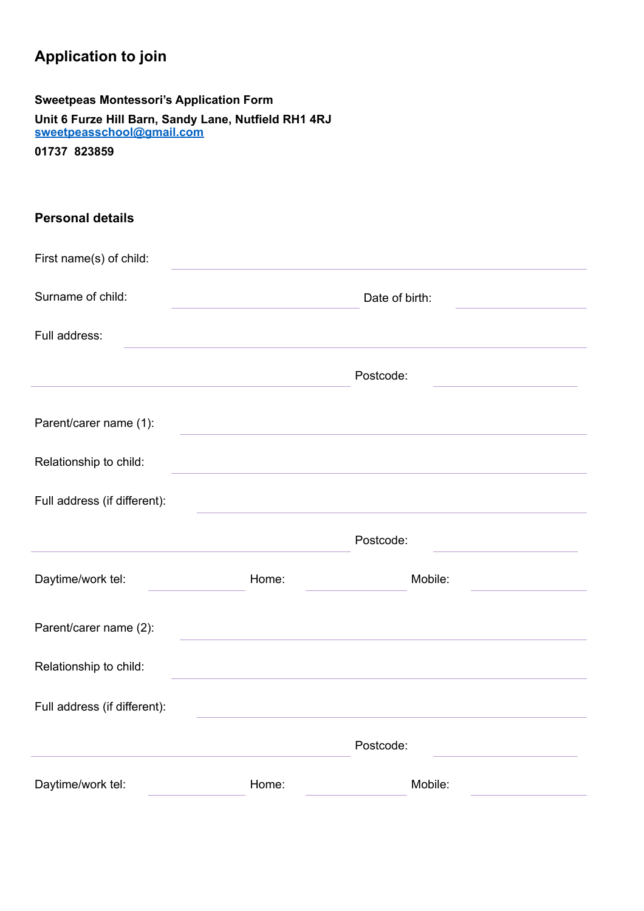## **Application to join**

| <b>Sweetpeas Montessori's Application Form</b> |  |
|------------------------------------------------|--|
|------------------------------------------------|--|

**Unit 6 Furze Hill Barn, Sandy Lane, Nutfield RH1 4RJ [sweetpeasschool@gmail.com](mailto:sweetpeasschool@gmail.com)**

**01737 823859**

| <b>Personal details</b>      |                                                                                                                  |                                                                                                                      |
|------------------------------|------------------------------------------------------------------------------------------------------------------|----------------------------------------------------------------------------------------------------------------------|
| First name(s) of child:      |                                                                                                                  |                                                                                                                      |
| Surname of child:            | the control of the control of the control of the control of                                                      | Date of birth:                                                                                                       |
| Full address:                |                                                                                                                  |                                                                                                                      |
|                              |                                                                                                                  | Postcode:<br>the control of the control of the control of                                                            |
| Parent/carer name (1):       | and the control of the control of the control of the control of the control of the control of the control of the |                                                                                                                      |
| Relationship to child:       | <u> 1980 - Johann Barn, fransk politik (d. 1980)</u>                                                             |                                                                                                                      |
| Full address (if different): |                                                                                                                  | <u> 1989 - Johann Stein, marwolaethau a bhann an t-Amhair ann an t-Amhair an t-Amhair an t-Amhair an t-Amhair an</u> |
|                              |                                                                                                                  | Postcode:                                                                                                            |
| Daytime/work tel:            | Home:                                                                                                            | Mobile:                                                                                                              |
| Parent/carer name (2):       |                                                                                                                  |                                                                                                                      |
| Relationship to child:       |                                                                                                                  |                                                                                                                      |
| Full address (if different): |                                                                                                                  |                                                                                                                      |
|                              |                                                                                                                  | Postcode:                                                                                                            |
| Daytime/work tel:            | Home:                                                                                                            | Mobile:                                                                                                              |